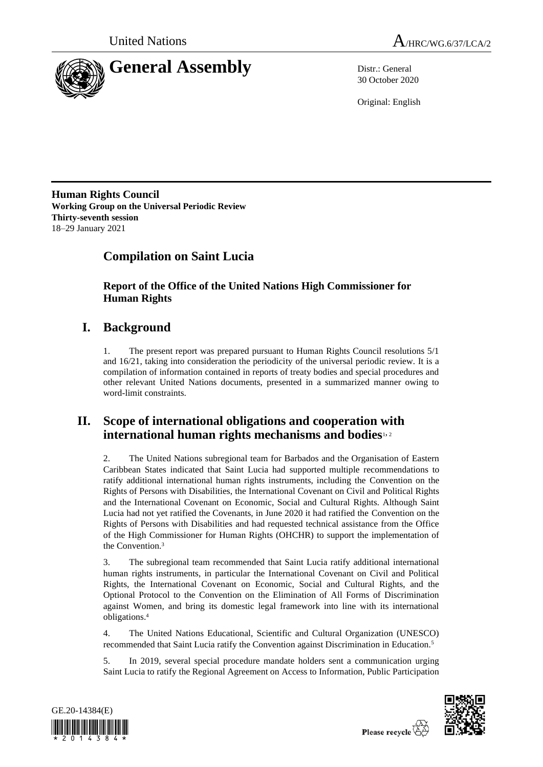



30 October 2020

Original: English

**Human Rights Council Working Group on the Universal Periodic Review Thirty-seventh session** 18–29 January 2021

# **Compilation on Saint Lucia**

**Report of the Office of the United Nations High Commissioner for Human Rights**

## **I. Background**

1. The present report was prepared pursuant to Human Rights Council resolutions 5/1 and 16/21, taking into consideration the periodicity of the universal periodic review. It is a compilation of information contained in reports of treaty bodies and special procedures and other relevant United Nations documents, presented in a summarized manner owing to word-limit constraints.

## **II. Scope of international obligations and cooperation with international human rights mechanisms and bodies**1, <sup>2</sup>

2. The United Nations subregional team for Barbados and the Organisation of Eastern Caribbean States indicated that Saint Lucia had supported multiple recommendations to ratify additional international human rights instruments, including the Convention on the Rights of Persons with Disabilities, the International Covenant on Civil and Political Rights and the International Covenant on Economic, Social and Cultural Rights. Although Saint Lucia had not yet ratified the Covenants, in June 2020 it had ratified the Convention on the Rights of Persons with Disabilities and had requested technical assistance from the Office of the High Commissioner for Human Rights (OHCHR) to support the implementation of the Convention.<sup>3</sup>

3. The subregional team recommended that Saint Lucia ratify additional international human rights instruments, in particular the International Covenant on Civil and Political Rights, the International Covenant on Economic, Social and Cultural Rights, and the Optional Protocol to the Convention on the Elimination of All Forms of Discrimination against Women, and bring its domestic legal framework into line with its international obligations. 4

4. The United Nations Educational, Scientific and Cultural Organization (UNESCO) recommended that Saint Lucia ratify the Convention against Discrimination in Education.<sup>5</sup>

5. In 2019, several special procedure mandate holders sent a communication urging Saint Lucia to ratify the Regional Agreement on Access to Information, Public Participation



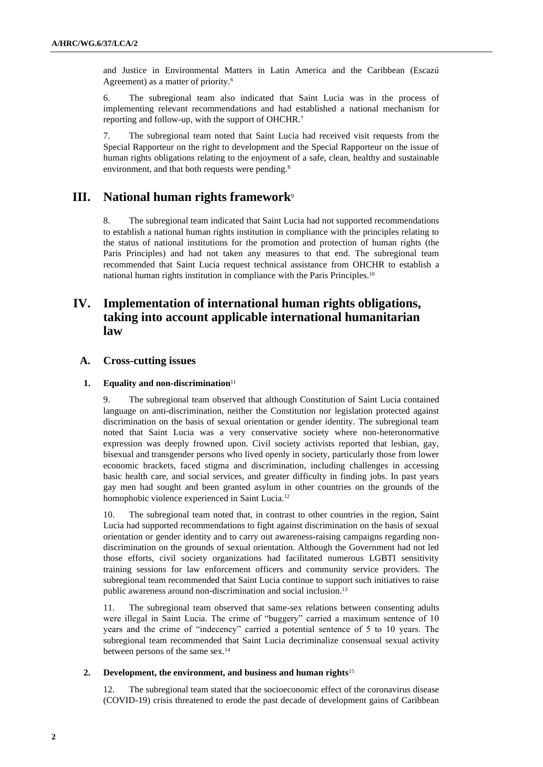and Justice in Environmental Matters in Latin America and the Caribbean (Escazú Agreement) as a matter of priority.<sup>6</sup>

6. The subregional team also indicated that Saint Lucia was in the process of implementing relevant recommendations and had established a national mechanism for reporting and follow-up, with the support of OHCHR.<sup>7</sup>

7. The subregional team noted that Saint Lucia had received visit requests from the Special Rapporteur on the right to development and the Special Rapporteur on the issue of human rights obligations relating to the enjoyment of a safe, clean, healthy and sustainable environment, and that both requests were pending.<sup>8</sup>

## **III. National human rights framework**<sup>9</sup>

8. The subregional team indicated that Saint Lucia had not supported recommendations to establish a national human rights institution in compliance with the principles relating to the status of national institutions for the promotion and protection of human rights (the Paris Principles) and had not taken any measures to that end. The subregional team recommended that Saint Lucia request technical assistance from OHCHR to establish a national human rights institution in compliance with the Paris Principles.<sup>10</sup>

## **IV. Implementation of international human rights obligations, taking into account applicable international humanitarian law**

## **A. Cross-cutting issues**

## **1. Equality and non-discrimination**<sup>11</sup>

9. The subregional team observed that although Constitution of Saint Lucia contained language on anti-discrimination, neither the Constitution nor legislation protected against discrimination on the basis of sexual orientation or gender identity. The subregional team noted that Saint Lucia was a very conservative society where non-heteronormative expression was deeply frowned upon. Civil society activists reported that lesbian, gay, bisexual and transgender persons who lived openly in society, particularly those from lower economic brackets, faced stigma and discrimination, including challenges in accessing basic health care, and social services, and greater difficulty in finding jobs. In past years gay men had sought and been granted asylum in other countries on the grounds of the homophobic violence experienced in Saint Lucia.<sup>12</sup>

10. The subregional team noted that, in contrast to other countries in the region, Saint Lucia had supported recommendations to fight against discrimination on the basis of sexual orientation or gender identity and to carry out awareness-raising campaigns regarding nondiscrimination on the grounds of sexual orientation. Although the Government had not led those efforts, civil society organizations had facilitated numerous LGBTI sensitivity training sessions for law enforcement officers and community service providers. The subregional team recommended that Saint Lucia continue to support such initiatives to raise public awareness around non-discrimination and social inclusion.<sup>13</sup>

11. The subregional team observed that same-sex relations between consenting adults were illegal in Saint Lucia. The crime of "buggery" carried a maximum sentence of 10 years and the crime of "indecency" carried a potential sentence of 5 to 10 years. The subregional team recommended that Saint Lucia decriminalize consensual sexual activity between persons of the same sex.<sup>14</sup>

### **2. Development, the environment, and business and human rights**<sup>15</sup>

12. The subregional team stated that the socioeconomic effect of the coronavirus disease (COVID-19) crisis threatened to erode the past decade of development gains of Caribbean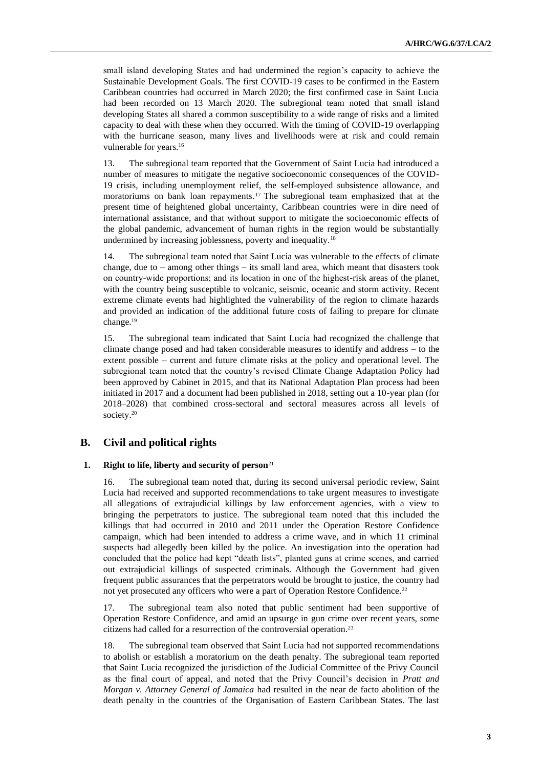small island developing States and had undermined the region's capacity to achieve the Sustainable Development Goals. The first COVID-19 cases to be confirmed in the Eastern Caribbean countries had occurred in March 2020; the first confirmed case in Saint Lucia had been recorded on 13 March 2020. The subregional team noted that small island developing States all shared a common susceptibility to a wide range of risks and a limited capacity to deal with these when they occurred. With the timing of COVID-19 overlapping with the hurricane season, many lives and livelihoods were at risk and could remain vulnerable for years.<sup>16</sup>

13. The subregional team reported that the Government of Saint Lucia had introduced a number of measures to mitigate the negative socioeconomic consequences of the COVID-19 crisis, including unemployment relief, the self-employed subsistence allowance, and moratoriums on bank loan repayments. <sup>17</sup> The subregional team emphasized that at the present time of heightened global uncertainty, Caribbean countries were in dire need of international assistance, and that without support to mitigate the socioeconomic effects of the global pandemic, advancement of human rights in the region would be substantially undermined by increasing joblessness, poverty and inequality.<sup>18</sup>

14. The subregional team noted that Saint Lucia was vulnerable to the effects of climate change, due to – among other things – its small land area, which meant that disasters took on country‐wide proportions; and its location in one of the highest-risk areas of the planet, with the country being susceptible to volcanic, seismic, oceanic and storm activity. Recent extreme climate events had highlighted the vulnerability of the region to climate hazards and provided an indication of the additional future costs of failing to prepare for climate change.<sup>19</sup>

15. The subregional team indicated that Saint Lucia had recognized the challenge that climate change posed and had taken considerable measures to identify and address – to the extent possible – current and future climate risks at the policy and operational level. The subregional team noted that the country's revised Climate Change Adaptation Policy had been approved by Cabinet in 2015, and that its National Adaptation Plan process had been initiated in 2017 and a document had been published in 2018, setting out a 10-year plan (for 2018–2028) that combined cross-sectoral and sectoral measures across all levels of society.<sup>20</sup>

## **B. Civil and political rights**

### **1. Right to life, liberty and security of person**<sup>21</sup>

16. The subregional team noted that, during its second universal periodic review, Saint Lucia had received and supported recommendations to take urgent measures to investigate all allegations of extrajudicial killings by law enforcement agencies, with a view to bringing the perpetrators to justice. The subregional team noted that this included the killings that had occurred in 2010 and 2011 under the Operation Restore Confidence campaign, which had been intended to address a crime wave, and in which 11 criminal suspects had allegedly been killed by the police. An investigation into the operation had concluded that the police had kept "death lists", planted guns at crime scenes, and carried out extrajudicial killings of suspected criminals. Although the Government had given frequent public assurances that the perpetrators would be brought to justice, the country had not yet prosecuted any officers who were a part of Operation Restore Confidence.<sup>22</sup>

17. The subregional team also noted that public sentiment had been supportive of Operation Restore Confidence, and amid an upsurge in gun crime over recent years, some citizens had called for a resurrection of the controversial operation.<sup>23</sup>

18. The subregional team observed that Saint Lucia had not supported recommendations to abolish or establish a moratorium on the death penalty. The subregional team reported that Saint Lucia recognized the jurisdiction of the Judicial Committee of the Privy Council as the final court of appeal, and noted that the Privy Council's decision in *Pratt and Morgan v. Attorney General of Jamaica* had resulted in the near de facto abolition of the death penalty in the countries of the Organisation of Eastern Caribbean States. The last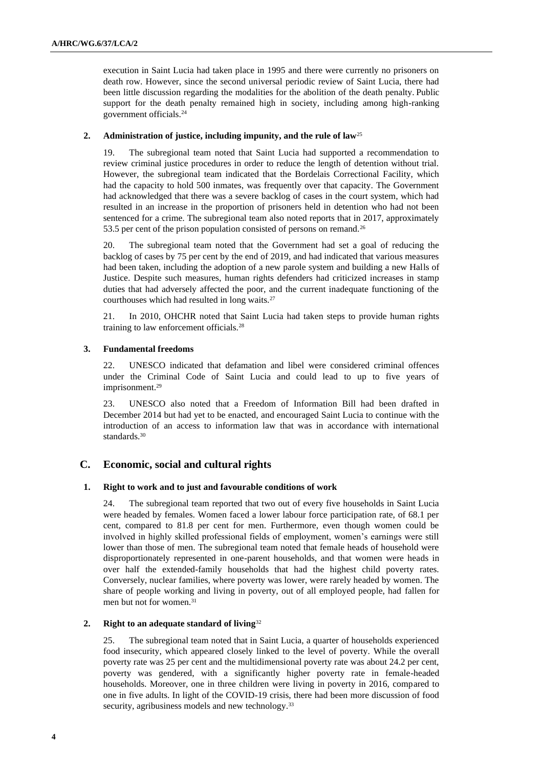execution in Saint Lucia had taken place in 1995 and there were currently no prisoners on death row. However, since the second universal periodic review of Saint Lucia, there had been little discussion regarding the modalities for the abolition of the death penalty. Public support for the death penalty remained high in society, including among high-ranking government officials.<sup>24</sup>

### **2. Administration of justice, including impunity, and the rule of law**<sup>25</sup>

19. The subregional team noted that Saint Lucia had supported a recommendation to review criminal justice procedures in order to reduce the length of detention without trial. However, the subregional team indicated that the Bordelais Correctional Facility, which had the capacity to hold 500 inmates, was frequently over that capacity. The Government had acknowledged that there was a severe backlog of cases in the court system, which had resulted in an increase in the proportion of prisoners held in detention who had not been sentenced for a crime. The subregional team also noted reports that in 2017, approximately 53.5 per cent of the prison population consisted of persons on remand.<sup>26</sup>

20. The subregional team noted that the Government had set a goal of reducing the backlog of cases by 75 per cent by the end of 2019, and had indicated that various measures had been taken, including the adoption of a new parole system and building a new Halls of Justice. Despite such measures, human rights defenders had criticized increases in stamp duties that had adversely affected the poor, and the current inadequate functioning of the courthouses which had resulted in long waits.<sup>27</sup>

21. In 2010, OHCHR noted that Saint Lucia had taken steps to provide human rights training to law enforcement officials.<sup>28</sup>

#### **3. Fundamental freedoms**

22. UNESCO indicated that defamation and libel were considered criminal offences under the Criminal Code of Saint Lucia and could lead to up to five years of imprisonment.<sup>29</sup>

23. UNESCO also noted that a Freedom of Information Bill had been drafted in December 2014 but had yet to be enacted, and encouraged Saint Lucia to continue with the introduction of an access to information law that was in accordance with international standards.<sup>30</sup>

## **C. Economic, social and cultural rights**

#### **1. Right to work and to just and favourable conditions of work**

24. The subregional team reported that two out of every five households in Saint Lucia were headed by females. Women faced a lower labour force participation rate, of 68.1 per cent, compared to 81.8 per cent for men. Furthermore, even though women could be involved in highly skilled professional fields of employment, women's earnings were still lower than those of men. The subregional team noted that female heads of household were disproportionately represented in one-parent households, and that women were heads in over half the extended-family households that had the highest child poverty rates. Conversely, nuclear families, where poverty was lower, were rarely headed by women. The share of people working and living in poverty, out of all employed people, had fallen for men but not for women.<sup>31</sup>

## **2. Right to an adequate standard of living**<sup>32</sup>

25. The subregional team noted that in Saint Lucia, a quarter of households experienced food insecurity, which appeared closely linked to the level of poverty. While the overall poverty rate was 25 per cent and the multidimensional poverty rate was about 24.2 per cent, poverty was gendered, with a significantly higher poverty rate in female-headed households. Moreover, one in three children were living in poverty in 2016, compared to one in five adults. In light of the COVID-19 crisis, there had been more discussion of food security, agribusiness models and new technology.<sup>33</sup>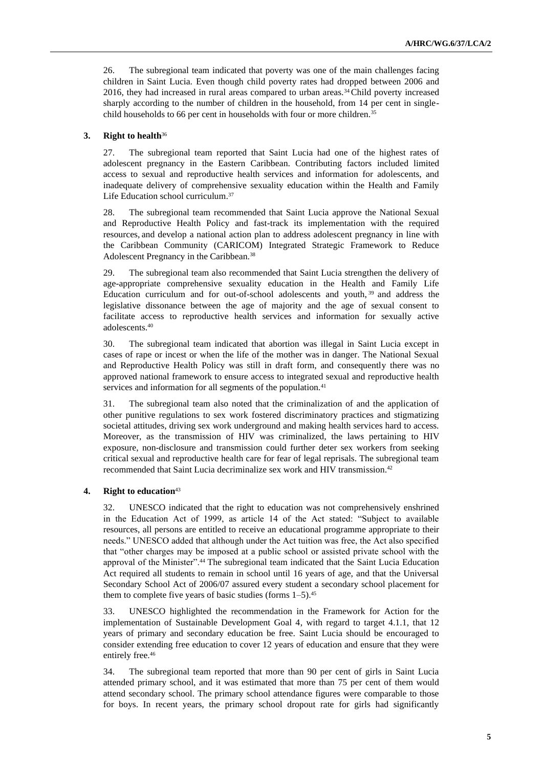26. The subregional team indicated that poverty was one of the main challenges facing children in Saint Lucia. Even though child poverty rates had dropped between 2006 and 2016, they had increased in rural areas compared to urban areas.34Child poverty increased sharply according to the number of children in the household, from 14 per cent in singlechild households to 66 per cent in households with four or more children.<sup>35</sup>

## **3. Right to health**<sup>36</sup>

27. The subregional team reported that Saint Lucia had one of the highest rates of adolescent pregnancy in the Eastern Caribbean. Contributing factors included limited access to sexual and reproductive health services and information for adolescents, and inadequate delivery of comprehensive sexuality education within the Health and Family Life Education school curriculum.<sup>37</sup>

28. The subregional team recommended that Saint Lucia approve the National Sexual and Reproductive Health Policy and fast-track its implementation with the required resources, and develop a national action plan to address adolescent pregnancy in line with the Caribbean Community (CARICOM) Integrated Strategic Framework to Reduce Adolescent Pregnancy in the Caribbean.<sup>38</sup>

29. The subregional team also recommended that Saint Lucia strengthen the delivery of age-appropriate comprehensive sexuality education in the Health and Family Life Education curriculum and for out-of-school adolescents and youth, <sup>39</sup> and address the legislative dissonance between the age of majority and the age of sexual consent to facilitate access to reproductive health services and information for sexually active adolescents.<sup>40</sup>

30. The subregional team indicated that abortion was illegal in Saint Lucia except in cases of rape or incest or when the life of the mother was in danger. The National Sexual and Reproductive Health Policy was still in draft form, and consequently there was no approved national framework to ensure access to integrated sexual and reproductive health services and information for all segments of the population.<sup>41</sup>

31. The subregional team also noted that the criminalization of and the application of other punitive regulations to sex work fostered discriminatory practices and stigmatizing societal attitudes, driving sex work underground and making health services hard to access. Moreover, as the transmission of HIV was criminalized, the laws pertaining to HIV exposure, non-disclosure and transmission could further deter sex workers from seeking critical sexual and reproductive health care for fear of legal reprisals. The subregional team recommended that Saint Lucia decriminalize sex work and HIV transmission.<sup>42</sup>

## **4. Right to education**<sup>43</sup>

32. UNESCO indicated that the right to education was not comprehensively enshrined in the Education Act of 1999, as article 14 of the Act stated: "Subject to available resources, all persons are entitled to receive an educational programme appropriate to their needs." UNESCO added that although under the Act tuition was free, the Act also specified that "other charges may be imposed at a public school or assisted private school with the approval of the Minister".<sup>44</sup> The subregional team indicated that the Saint Lucia Education Act required all students to remain in school until 16 years of age, and that the Universal Secondary School Act of 2006/07 assured every student a secondary school placement for them to complete five years of basic studies (forms  $1-5$ ).<sup>45</sup>

33. UNESCO highlighted the recommendation in the Framework for Action for the implementation of Sustainable Development Goal 4, with regard to target 4.1.1, that 12 years of primary and secondary education be free. Saint Lucia should be encouraged to consider extending free education to cover 12 years of education and ensure that they were entirely free.<sup>46</sup>

34. The subregional team reported that more than 90 per cent of girls in Saint Lucia attended primary school, and it was estimated that more than 75 per cent of them would attend secondary school. The primary school attendance figures were comparable to those for boys. In recent years, the primary school dropout rate for girls had significantly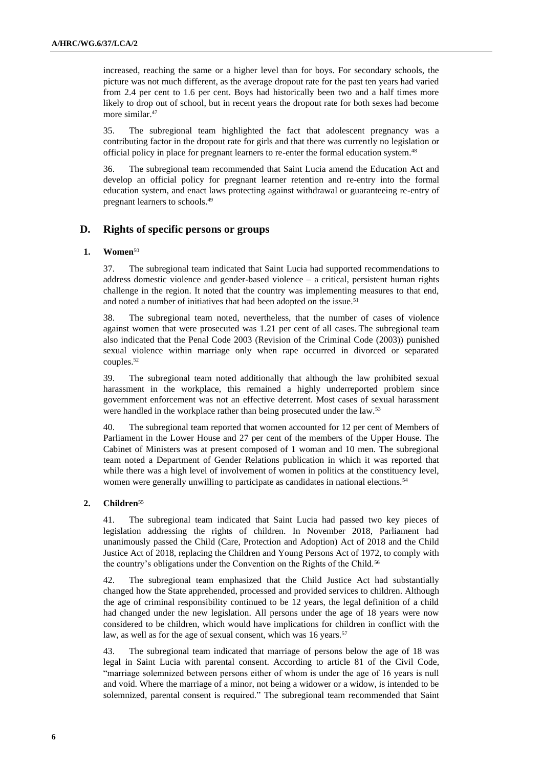increased, reaching the same or a higher level than for boys. For secondary schools, the picture was not much different, as the average dropout rate for the past ten years had varied from 2.4 per cent to 1.6 per cent. Boys had historically been two and a half times more likely to drop out of school, but in recent years the dropout rate for both sexes had become more similar.<sup>47</sup>

35. The subregional team highlighted the fact that adolescent pregnancy was a contributing factor in the dropout rate for girls and that there was currently no legislation or official policy in place for pregnant learners to re-enter the formal education system.<sup>48</sup>

36. The subregional team recommended that Saint Lucia amend the Education Act and develop an official policy for pregnant learner retention and re-entry into the formal education system, and enact laws protecting against withdrawal or guaranteeing re-entry of pregnant learners to schools.<sup>49</sup>

### **D. Rights of specific persons or groups**

#### **1. Women**<sup>50</sup>

37. The subregional team indicated that Saint Lucia had supported recommendations to address domestic violence and gender-based violence – a critical, persistent human rights challenge in the region. It noted that the country was implementing measures to that end, and noted a number of initiatives that had been adopted on the issue.<sup>51</sup>

38. The subregional team noted, nevertheless, that the number of cases of violence against women that were prosecuted was 1.21 per cent of all cases. The subregional team also indicated that the Penal Code 2003 (Revision of the Criminal Code (2003)) punished sexual violence within marriage only when rape occurred in divorced or separated couples.<sup>52</sup>

39. The subregional team noted additionally that although the law prohibited sexual harassment in the workplace, this remained a highly underreported problem since government enforcement was not an effective deterrent. Most cases of sexual harassment were handled in the workplace rather than being prosecuted under the law.<sup>53</sup>

40. The subregional team reported that women accounted for 12 per cent of Members of Parliament in the Lower House and 27 per cent of the members of the Upper House. The Cabinet of Ministers was at present composed of 1 woman and 10 men. The subregional team noted a Department of Gender Relations publication in which it was reported that while there was a high level of involvement of women in politics at the constituency level, women were generally unwilling to participate as candidates in national elections.<sup>54</sup>

#### **2. Children**<sup>55</sup>

41. The subregional team indicated that Saint Lucia had passed two key pieces of legislation addressing the rights of children. In November 2018, Parliament had unanimously passed the Child (Care, Protection and Adoption) Act of 2018 and the Child Justice Act of 2018, replacing the Children and Young Persons Act of 1972, to comply with the country's obligations under the Convention on the Rights of the Child.<sup>56</sup>

42. The subregional team emphasized that the Child Justice Act had substantially changed how the State apprehended, processed and provided services to children. Although the age of criminal responsibility continued to be 12 years, the legal definition of a child had changed under the new legislation. All persons under the age of 18 years were now considered to be children, which would have implications for children in conflict with the law, as well as for the age of sexual consent, which was 16 years.<sup>57</sup>

43. The subregional team indicated that marriage of persons below the age of 18 was legal in Saint Lucia with parental consent. According to article 81 of the Civil Code, "marriage solemnized between persons either of whom is under the age of 16 years is null and void. Where the marriage of a minor, not being a widower or a widow, is intended to be solemnized, parental consent is required." The subregional team recommended that Saint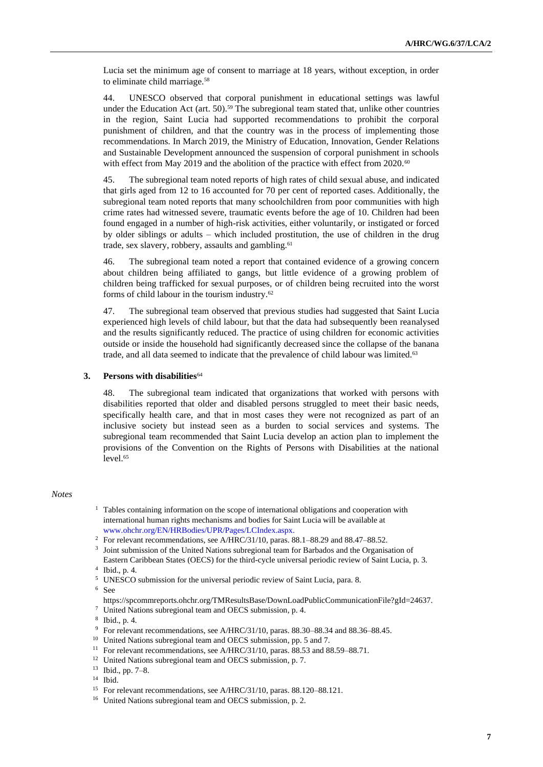Lucia set the minimum age of consent to marriage at 18 years, without exception, in order to eliminate child marriage.<sup>58</sup>

44. UNESCO observed that corporal punishment in educational settings was lawful under the Education Act (art. 50).<sup>59</sup> The subregional team stated that, unlike other countries in the region, Saint Lucia had supported recommendations to prohibit the corporal punishment of children, and that the country was in the process of implementing those recommendations. In March 2019, the Ministry of Education, Innovation, Gender Relations and Sustainable Development announced the suspension of corporal punishment in schools with effect from May 2019 and the abolition of the practice with effect from 2020.<sup>60</sup>

45. The subregional team noted reports of high rates of child sexual abuse, and indicated that girls aged from 12 to 16 accounted for 70 per cent of reported cases. Additionally, the subregional team noted reports that many schoolchildren from poor communities with high crime rates had witnessed severe, traumatic events before the age of 10. Children had been found engaged in a number of high-risk activities, either voluntarily, or instigated or forced by older siblings or adults – which included prostitution, the use of children in the drug trade, sex slavery, robbery, assaults and gambling.<sup>61</sup>

46. The subregional team noted a report that contained evidence of a growing concern about children being affiliated to gangs, but little evidence of a growing problem of children being trafficked for sexual purposes, or of children being recruited into the worst forms of child labour in the tourism industry.<sup>62</sup>

47. The subregional team observed that previous studies had suggested that Saint Lucia experienced high levels of child labour, but that the data had subsequently been reanalysed and the results significantly reduced. The practice of using children for economic activities outside or inside the household had significantly decreased since the collapse of the banana trade, and all data seemed to indicate that the prevalence of child labour was limited.<sup>63</sup>

#### **3. Persons with disabilities**<sup>64</sup>

48. The subregional team indicated that organizations that worked with persons with disabilities reported that older and disabled persons struggled to meet their basic needs, specifically health care, and that in most cases they were not recognized as part of an inclusive society but instead seen as a burden to social services and systems. The subregional team recommended that Saint Lucia develop an action plan to implement the provisions of the Convention on the Rights of Persons with Disabilities at the national level.<sup>65</sup>

#### *Notes*

- <sup>1</sup> Tables containing information on the scope of international obligations and cooperation with international human rights mechanisms and bodies for Saint Lucia will be available at [www.ohchr.org/EN/HRBodies/UPR/Pages/LCIndex.aspx.](http://www.ohchr.org/EN/HRBodies/UPR/Pages/LCIndex.aspx)
- <sup>2</sup> For relevant recommendations, see A/HRC/31/10, paras. 88.1–88.29 and 88.47–88.52.
- <sup>3</sup> Joint submission of the United Nations subregional team for Barbados and the Organisation of Eastern Caribbean States (OECS) for the third-cycle universal periodic review of Saint Lucia, p. 3.

<sup>5</sup> UNESCO submission for the universal periodic review of Saint Lucia, para. 8.

- <sup>10</sup> United Nations subregional team and OECS submission, pp. 5 and 7.
- <sup>11</sup> For relevant recommendations, see A/HRC/31/10, paras. 88.53 and 88.59–88.71.
- <sup>12</sup> United Nations subregional team and OECS submission, p. 7.

<sup>4</sup> Ibid., p. 4.

<sup>6</sup> See

https://spcommreports.ohchr.org/TMResultsBase/DownLoadPublicCommunicationFile?gId=24637.

<sup>7</sup> United Nations subregional team and OECS submission, p. 4.

<sup>8</sup> Ibid., p. 4.

<sup>9</sup> For relevant recommendations, see A/HRC/31/10, paras. 88.30–88.34 and 88.36–88.45.

<sup>13</sup> Ibid., pp. 7–8.

<sup>14</sup> Ibid.

<sup>15</sup> For relevant recommendations, see A/HRC/31/10, paras. 88.120–88.121.

<sup>&</sup>lt;sup>16</sup> United Nations subregional team and OECS submission, p. 2.